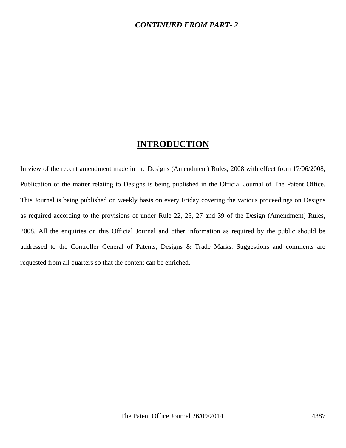#### *CONTINUED FROM PART- 2*

## **INTRODUCTION**

In view of the recent amendment made in the Designs (Amendment) Rules, 2008 with effect from 17/06/2008, Publication of the matter relating to Designs is being published in the Official Journal of The Patent Office. This Journal is being published on weekly basis on every Friday covering the various proceedings on Designs as required according to the provisions of under Rule 22, 25, 27 and 39 of the Design (Amendment) Rules, 2008. All the enquiries on this Official Journal and other information as required by the public should be addressed to the Controller General of Patents, Designs & Trade Marks. Suggestions and comments are requested from all quarters so that the content can be enriched.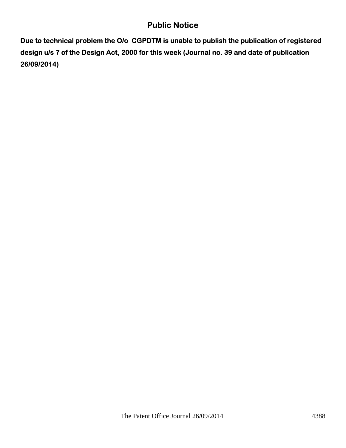# **Public Notice**

**Due to technical problem the O/o CGPDTM is unable to publish the publication of registered design u/s 7 of the Design Act, 2000 for this week (Journal no. 39 and date of publication 26/09/2014)**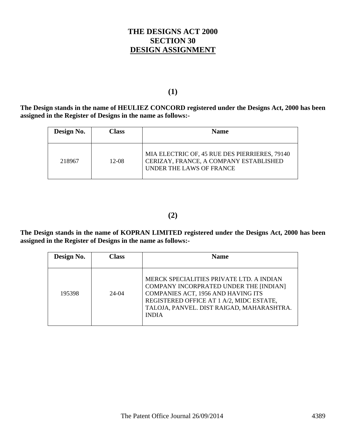### **THE DESIGNS ACT 2000 SECTION 30 DESIGN ASSIGNMENT**

#### **(1)**

**The Design stands in the name of HEULIEZ CONCORD registered under the Designs Act, 2000 has been assigned in the Register of Designs in the name as follows:-** 

| Design No. | <b>Class</b> | <b>Name</b>                                                                                                         |
|------------|--------------|---------------------------------------------------------------------------------------------------------------------|
| 218967     | $12-08$      | MIA ELECTRIC OF, 45 RUE DES PIERRIERES, 79140<br>CERIZAY, FRANCE, A COMPANY ESTABLISHED<br>UNDER THE LAWS OF FRANCE |

**(2)** 

**The Design stands in the name of KOPRAN LIMITED registered under the Designs Act, 2000 has been assigned in the Register of Designs in the name as follows:-** 

| Design No. | Class   | <b>Name</b>                                                                                                                                                                                                                       |  |
|------------|---------|-----------------------------------------------------------------------------------------------------------------------------------------------------------------------------------------------------------------------------------|--|
|            |         |                                                                                                                                                                                                                                   |  |
| 195398     | $24-04$ | MERCK SPECIALITIES PRIVATE LTD. A INDIAN<br>COMPANY INCORPRATED UNDER THE [INDIAN]<br>COMPANIES ACT, 1956 AND HAVING ITS<br>REGISTERED OFFICE AT 1 A/2, MIDC ESTATE,<br>TALOJA, PANVEL. DIST RAIGAD, MAHARASHTRA.<br><b>INDIA</b> |  |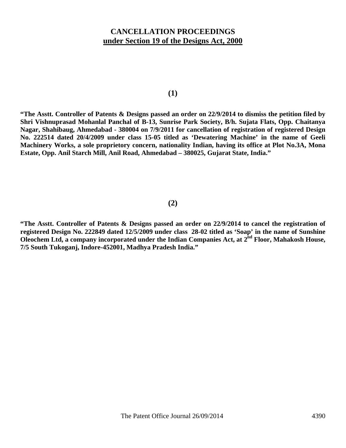### **CANCELLATION PROCEEDINGS under Section 19 of the Designs Act, 2000**

**(1)** 

**"The Asstt. Controller of Patents & Designs passed an order on 22/9/2014 to dismiss the petition filed by Shri Vishnuprasad Mohanlal Panchal of B-13, Sunrise Park Society, B/h. Sujata Flats, Opp. Chaitanya Nagar, Shahibaug, Ahmedabad - 380004 on 7/9/2011 for cancellation of registration of registered Design No. 222514 dated 20/4/2009 under class 15-05 titled as 'Dewatering Machine' in the name of Geeli Machinery Works, a sole proprietory concern, nationality Indian, having its office at Plot No.3A, Mona Estate, Opp. Anil Starch Mill, Anil Road, Ahmedabad – 380025, Gujarat State, India."**

#### **(2)**

**"The Asstt. Controller of Patents & Designs passed an order on 22/9/2014 to cancel the registration of registered Design No. 222849 dated 12/5/2009 under class 28-02 titled as 'Soap' in the name of Sunshine**  Oleochem Ltd, a company incorporated under the Indian Companies Act, at 2<sup>nd</sup> Floor, Mahakosh House, **7/5 South Tukoganj, Indore-452001, Madhya Pradesh India."**